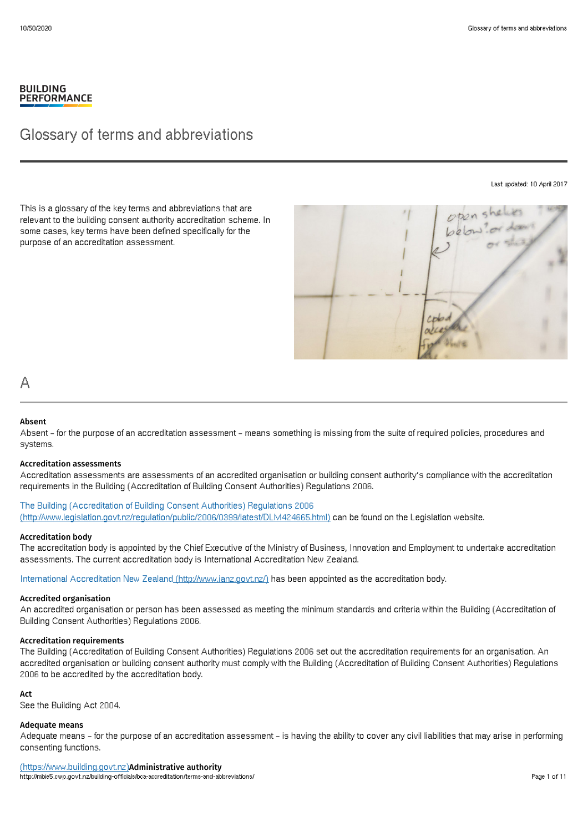# **BUILDING PERFORMANCE**

# Glossary of terms and abbreviations

Last updated: 10 April 2017

This is a glossary of the key terms and abbreviations that are relevant to the building consent authority accreditation scheme. In some cases, key terms have been defined specifically for the purpose of an accreditation assessment.



# A

# Absent

Absent – for the purpose of an accreditation assessment – means something is missing from the suite of required policies, procedures and systems.

# Accreditation assessments

Accreditation assessments are assessments of an accredited organisation or building consent authority's compliance with the accreditation requirements in the Building (Accreditation of Building Consent Authorities) Regulations 2006.

The Building (Accreditation of Building Consent Authorities) Regulations 2006 [\(http://www.legislation.govt.nz/regulation/public/2006/0399/latest/DLM424665.html\)](http://www.legislation.govt.nz/regulation/public/2006/0399/latest/DLM424665.html) can be found on the Legislation website.

### Accreditation body

The accreditation body is appointed by the Chief Executive of the Ministry of Business, Innovation and Employment to undertake accreditation assessments. The current accreditation body is International Accreditation New Zealand.

International Accreditation New Zealand [\(http://www.ianz.govt.nz/\)](http://www.ianz.govt.nz/) has been appointed as the accreditation body.

### Accredited organisation

An accredited organisation or person has been assessed as meeting the minimum standards and criteria within the Building (Accreditation of Building Consent Authorities) Regulations 2006.

### Accreditation requirements

The Building (Accreditation of Building Consent Authorities) Regulations 2006 set out the accreditation requirements for an organisation. An accredited organisation or building consent authority must comply with the Building (Accreditation of Building Consent Authorities) Regulations 2006 to be accredited by the accreditation body.

# Act

See the Building Act 2004.

### Adequate means

Adequate means – for the purpose of an accreditation assessment – is having the ability to cover any civil liabilities that may arise in performing consenting functions.

(https://www.building.govt.nz)Administrative authority http://mbie5.cwp.govt.nz/building-officials/bca-accreditation/terms-and-abbreviations/ Page 1 of 11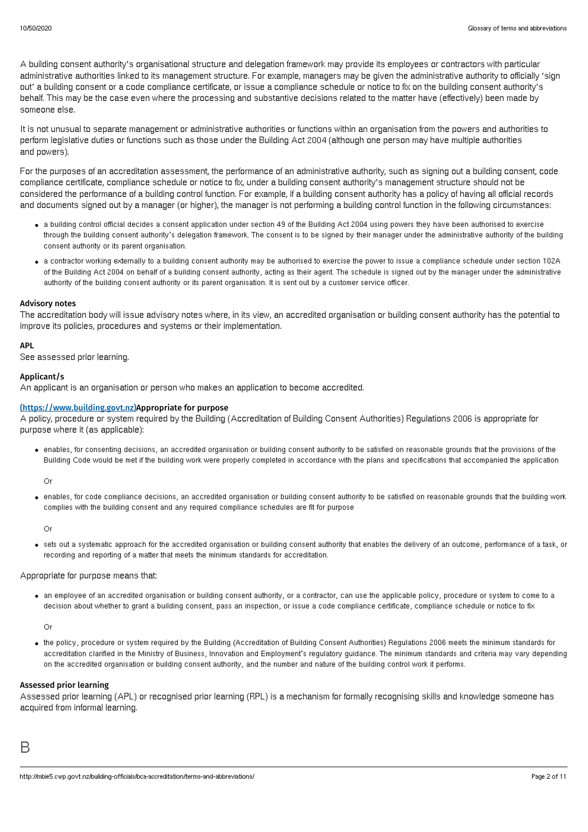A building consent authority's organisational structure and delegation framework may provide its employees or contractors with particular administrative authorities linked to its management structure. For example, managers may be given the administrative authority to officially 'sign out' a building consent or a code compliance certificate, or issue a compliance schedule or notice to fix on the building consent authority's behalf. This may be the case even where the processing and substantive decisions related to the matter have (effectively) been made by someone else.

It is not unusual to separate management or administrative authorities or functions within an organisation from the powers and authorities to perform legislative duties or functions such as those under the Building Act 2004 (although one person may have multiple authorities and powers).

For the purposes of an accreditation assessment, the performance of an administrative authority, such as signing out a building consent, code compliance certificate, compliance schedule or notice to fix, under a building consent authority's management structure should not be considered the performance of a building control function. For example, if a building consent authority has a policy of having all official records and documents signed out by a manager (or higher), the manager is not performing a building control function in the following circumstances:

- a building control official decides a consent application under section 49 of the Building Act 2004 using powers they have been authorised to exercise through the building consent authority's delegation framework. The consent is to be signed by their manager under the administrative authority of the building consent authority or its parent organisation.
- a contractor working externally to a building consent authority may be authorised to exercise the power to issue a compliance schedule under section 102A of the Building Act 2004 on behalf of a building consent authority, acting as their agent. The schedule is signed out by the manager under the administrative authority of the building consent authority or its parent organisation. It is sent out by a customer service officer.

# Advisory notes

The accreditation body will issue advisory notes where, in its view, an accredited organisation or building consent authority has the potential to improve its policies, procedures and systems or their implementation.

# APL

See assessed prior learning.

### Applicant/s

An applicant is an organisation or person who makes an application to become accredited.

# (https://www.building.govt.nz)Appropriate for purpose

A policy, procedure or system required by the Building (Accreditation of Building Consent Authorities) Regulations 2006 is appropriate for purpose where it (as applicable):

enables, for consenting decisions, an accredited organisation or building consent authority to be satisfied on reasonable grounds that the provisions of the Building Code would be met if the building work were properly completed in accordance with the plans and specifications that accompanied the application

Or

enables, for code compliance decisions, an accredited organisation or building consent authority to be satisfied on reasonable grounds that the building work complies with the building consent and any required compliance schedules are fit for purpose

Or

sets out a systematic approach for the accredited organisation or building consent authority that enables the delivery of an outcome, performance of a task, or recording and reporting of a matter that meets the minimum standards for accreditation.

## Appropriate for purpose means that:

an employee of an accredited organisation or building consent authority, or a contractor, can use the applicable policy, procedure or system to come to a decision about whether to grant a building consent, pass an inspection, or issue a code compliance certificate, compliance schedule or notice to fix

Or

the policy, procedure or system required by the Building (Accreditation of Building Consent Authorities) Regulations 2006 meets the minimum standards for accreditation clarified in the Ministry of Business, Innovation and Employment's regulatory guidance. The minimum standards and criteria may vary depending on the accredited organisation or building consent authority, and the number and nature of the building control work it performs.

## Assessed prior learning

Assessed prior learning (APL) or recognised prior learning (RPL) is a mechanism for formally recognising skills and knowledge someone has acquired from informal learning.

B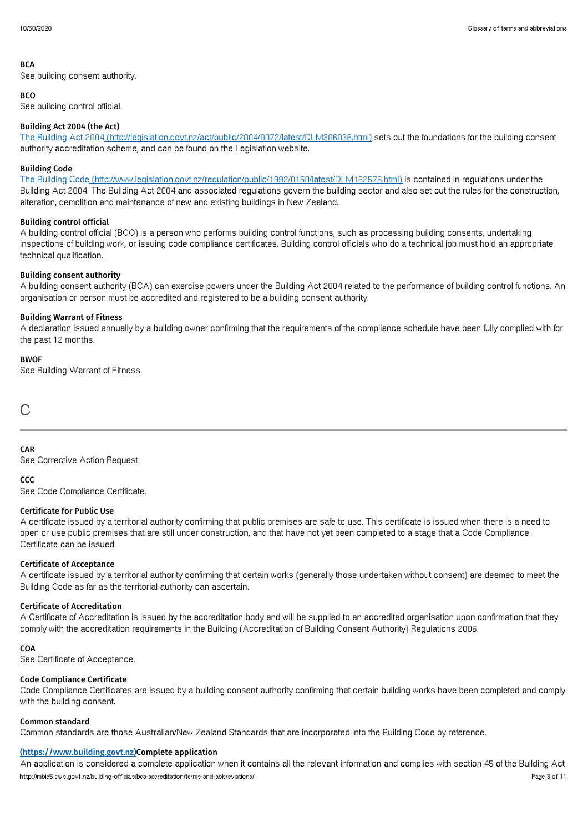### **BCA**

See building consent authority.

# **BCO**

See building control official.

# Building Act 2004 (the Act)

The Building Act 2004 [\(http://legislation.govt.nz/act/public/2004/0072/latest/DLM306036.html\)](http://legislation.govt.nz/act/public/2004/0072/latest/DLM306036.html) sets out the foundations for the building consent authority accreditation scheme, and can be found on the Legislation website.

# Building Code

The Building Code [\(http://www.legislation.govt.nz/regulation/public/1992/0150/latest/DLM162576.html\)](http://www.legislation.govt.nz/regulation/public/1992/0150/latest/DLM162576.html) is contained in regulations under the Building Act 2004. The Building Act 2004 and associated regulations govern the building sector and also set out the rules for the construction, alteration, demolition and maintenance of new and existing buildings in New Zealand.

# Building control official

A building control official (BCO) is a person who performs building control functions, such as processing building consents, undertaking inspections of building work, or issuing code compliance certificates. Building control officials who do a technical job must hold an appropriate technical qualification.

# Building consent authority

A building consent authority (BCA) can exercise powers under the Building Act 2004 related to the performance of building control functions. An organisation or person must be accredited and registered to be a building consent authority.

# Building Warrant of Fitness

A declaration issued annually by a building owner confirming that the requirements of the compliance schedule have been fully complied with for the past 12 months.

# **BWOF**

See Building Warrant of Fitness.

 $\bigcap$ 

# CAR

See Corrective Action Request.

### **CCC**

See Code Compliance Certificate.

### Certificate for Public Use

A certificate issued by a territorial authority confirming that public premises are safe to use. This certificate is issued when there is a need to open or use public premises that are still under construction, and that have not yet been completed to a stage that a Code Compliance Certificate can be issued.

### Certificate of Acceptance

A certificate issued by a territorial authority confirming that certain works (generally those undertaken without consent) are deemed to meet the Building Code as far as the territorial authority can ascertain.

### Certificate of Accreditation

A Certificate of Accreditation is issued by the accreditation body and will be supplied to an accredited organisation upon confirmation that they comply with the accreditation requirements in the Building (Accreditation of Building Consent Authority) Regulations 2006.

### CO<sub>A</sub>

See Certificate of Acceptance.

### Code Compliance Certificate

Code Compliance Certificates are issued by a building consent authority confirming that certain building works have been completed and comply with the building consent.

# Common standard

Common standards are those Australian/New Zealand Standards that are incorporated into the Building Code by reference.

# (https://www.building.govt.nz)Complete application

An application is considered a complete application when it contains all the relevant information and complies with section 45 of the Building Act http://mbie5.cwp.govt.nz/building-officials/bca-accreditation/terms-and-abbreviations/ Page 3 of 11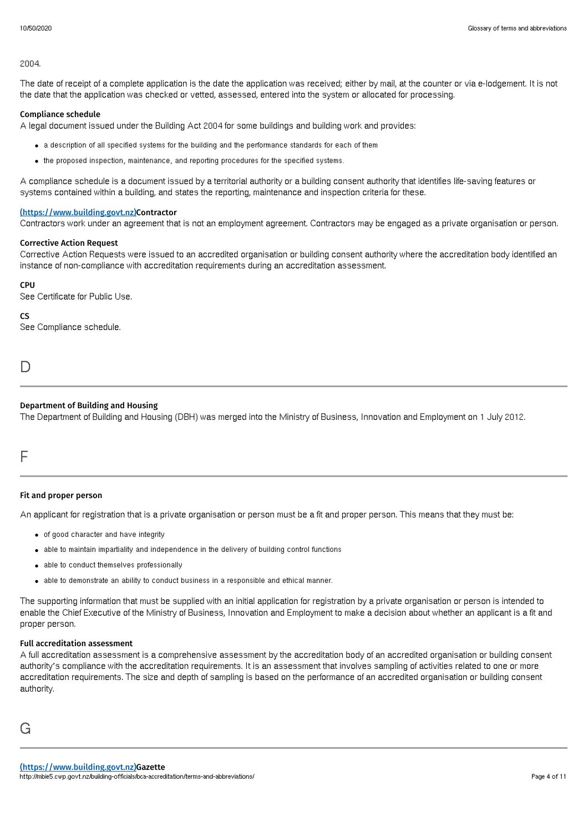### 2004.

The date of receipt of a complete application is the date the application was received; either by mail, at the counter or via e-lodgement. It is not the date that the application was checked or vetted, assessed, entered into the system or allocated for processing.

# Compliance schedule

A legal document issued under the Building Act 2004 for some buildings and building work and provides:

- a description of all specified systems for the building and the performance standards for each of them
- the proposed inspection, maintenance, and reporting procedures for the specified systems.

A compliance schedule is a document issued by a territorial authority or a building consent authority that identifies life-saving features or systems contained within a building, and states the reporting, maintenance and inspection criteria for these.

### (https://www.building.govt.nz)Contractor

Contractors work under an agreement that is not an employment agreement. Contractors may be engaged as a private organisation or person.

#### Corrective Action Request

Corrective Action Requests were issued to an accredited organisation or building consent authority where the accreditation body identified an instance of non-compliance with accreditation requirements during an accreditation assessment.

### CPU

See Certificate for Public Use.

#### CS

See Compliance schedule.

D

## Department of Building and Housing

The Department of Building and Housing (DBH) was merged into the Ministry of Business, Innovation and Employment on 1 July 2012.

# F

## Fit and proper person

An applicant for registration that is a private organisation or person must be a fit and proper person. This means that they must be:

- of good character and have integrity
- able to maintain impartiality and independence in the delivery of building control functions
- able to conduct themselves professionally
- able to demonstrate an ability to conduct business in a responsible and ethical manner.

The supporting information that must be supplied with an initial application for registration by a private organisation or person is intended to enable the Chief Executive of the Ministry of Business, Innovation and Employment to make a decision about whether an applicant is a fit and proper person.

# Full accreditation assessment

A full accreditation assessment is a comprehensive assessment by the accreditation body of an accredited organisation or building consent authority's compliance with the accreditation requirements. It is an assessment that involves sampling of activities related to one or more accreditation requirements. The size and depth of sampling is based on the performance of an accredited organisation or building consent authority.

# G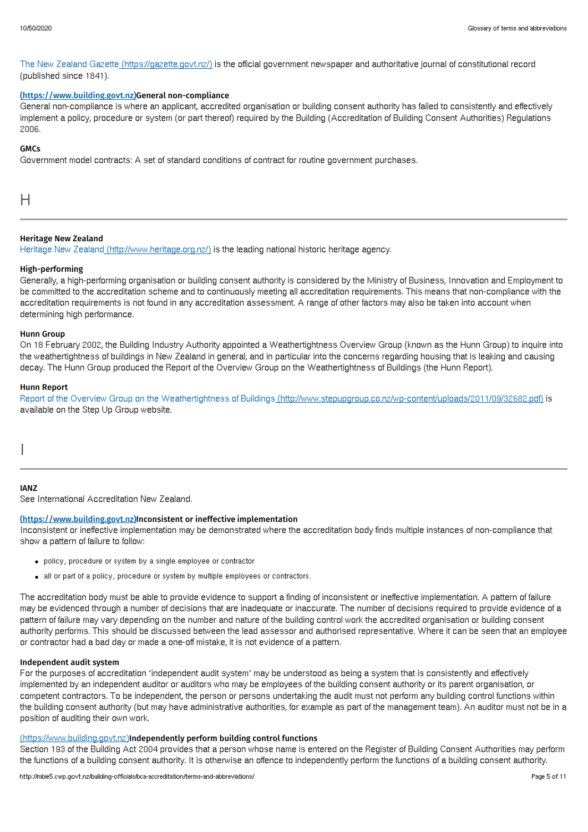The New Zealand Gazette [\(https://gazette.govt.nz/\)](https://gazette.govt.nz/) is the official government newspaper and authoritative journal of constitutional record (published since 1841).

# (https://www.building.govt.nz)General non-compliance

General non-compliance is where an applicant, accredited organisation or building consent authority has failed to consistently and effectively implement a policy, procedure or system (or part thereof) required by the Building (Accreditation of Building Consent Authorities) Regulations 2006.

# **GMCs**

Government model contracts: A set of standard conditions of contract for routine government purchases.

H

# Heritage New Zealand

Heritage New Zealand [\(http://www.heritage.org.nz/\)](http://www.heritage.org.nz/) is the leading national historic heritage agency.

# High-performing

Generally, a high-performing organisation or building consent authority is considered by the Ministry of Business, Innovation and Employment to be committed to the accreditation scheme and to continuously meeting all accreditation requirements. This means that non-compliance with the accreditation requirements is not found in any accreditation assessment. A range of other factors may also be taken into account when determining high performance.

### Hunn Group

On 18 February 2002, the Building Industry Authority appointed a Weathertightness Overview Group (known as the Hunn Group) to inquire into the weathertightness of buildings in New Zealand in general, and in particular into the concerns regarding housing that is leaking and causing decay. The Hunn Group produced the Report of the Overview Group on the Weathertightness of Buildings (the Hunn Report).

# Hunn Report

Report of the Overview Group on the Weathertightness of Buildings [\(http://www.stepupgroup.co.nz/wp-content/uploads/2011/09/32682.pdf\)](http://www.stepupgroup.co.nz/wp-content/uploads/2011/09/32682.pdf) is available on the Step Up Group website.

I

### IANZ

See International Accreditation New Zealand.

### (https://www.building.govt.nz)Inconsistent or ineffective implementation

Inconsistent or ineffective implementation may be demonstrated where the accreditation body finds multiple instances of non-compliance that show a pattern of failure to follow:

- policy, procedure or system by a single employee or contractor
- all or part of a policy, procedure or system by multiple employees or contractors.

The accreditation body must be able to provide evidence to support a finding of inconsistent or ineffective implementation. A pattern of failure may be evidenced through a number of decisions that are inadequate or inaccurate. The number of decisions required to provide evidence of a pattern of failure may vary depending on the number and nature of the building control work the accredited organisation or building consent authority performs. This should be discussed between the lead assessor and authorised representative. Where it can be seen that an employee or contractor had a bad day or made a one-off mistake, it is not evidence of a pattern.

### Independent audit system

For the purposes of accreditation 'independent audit system' may be understood as being a system that is consistently and effectively implemented by an independent auditor or auditors who may be employees of the building consent authority or its parent organisation, or competent contractors. To be independent, the person or persons undertaking the audit must not perform any building control functions within the building consent authority (but may have administrative authorities, for example as part of the management team). An auditor must not be in a position of auditing their own work.

# (https://www.building.govt.nz)Independently perform building control functions

Section 193 of the Building Act 2004 provides that a person whose name is entered on the Register of Building Consent Authorities may perform the functions of a building consent authority. It is otherwise an offence to independently perform the functions of a building consent authority.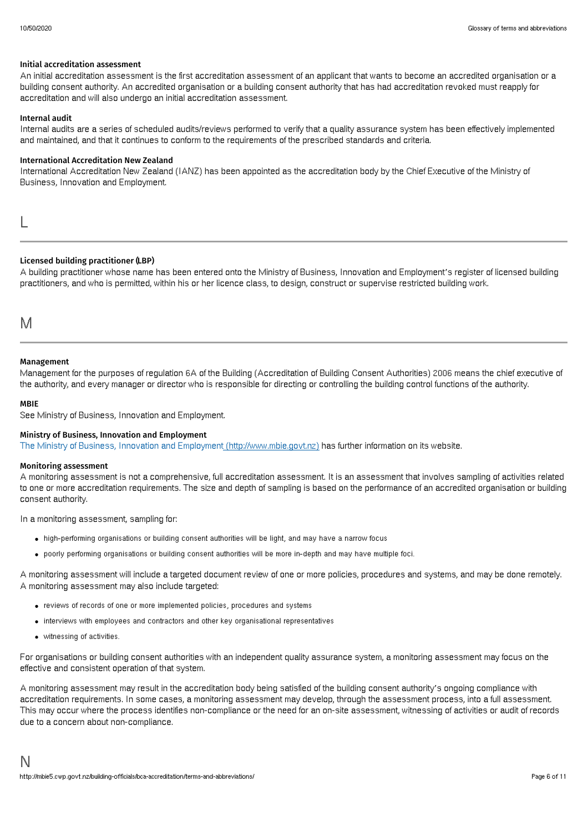# Initial accreditation assessment

An initial accreditation assessment is the first accreditation assessment of an applicant that wants to become an accredited organisation or a building consent authority. An accredited organisation or a building consent authority that has had accreditation revoked must reapply for accreditation and will also undergo an initial accreditation assessment.

# Internal audit

Internal audits are a series of scheduled audits/reviews performed to verify that a quality assurance system has been effectively implemented and maintained, and that it continues to conform to the requirements of the prescribed standards and criteria.

# International Accreditation New Zealand

International Accreditation New Zealand (IANZ) has been appointed as the accreditation body by the Chief Executive of the Ministry of Business, Innovation and Employment.

L

# Licensed building practitioner (LBP)

A building practitioner whose name has been entered onto the Ministry of Business, Innovation and Employment's register of licensed building practitioners, and who is permitted, within his or her licence class, to design, construct or supervise restricted building work.

M

# Management

Management for the purposes of regulation 6A of the Building (Accreditation of Building Consent Authorities) 2006 means the chief executive of the authority, and every manager or director who is responsible for directing or controlling the building control functions of the authority.

# **MRIF**

See Ministry of Business, Innovation and Employment.

# Ministry of Business, Innovation and Employment

The Ministry of Business, Innovation and Employment [\(http://www.mbie.govt.nz\)](http://www.mbie.govt.nz) has further information on its website.

### Monitoring assessment

A monitoring assessment is not a comprehensive, full accreditation assessment. It is an assessment that involves sampling of activities related to one or more accreditation requirements. The size and depth of sampling is based on the performance of an accredited organisation or building consent authority.

In a monitoring assessment, sampling for:

- high-performing organisations or building consent authorities will be light, and may have a narrow focus
- poorly performing organisations or building consent authorities will be more in-depth and may have multiple foci.

A monitoring assessment will include a targeted document review of one or more policies, procedures and systems, and may be done remotely. A monitoring assessment may also include targeted:

- reviews of records of one or more implemented policies, procedures and systems
- interviews with employees and contractors and other key organisational representatives
- witnessing of activities.

For organisations or building consent authorities with an independent quality assurance system, a monitoring assessment may focus on the effective and consistent operation of that system.

A monitoring assessment may result in the accreditation body being satisfied of the building consent authority's ongoing compliance with accreditation requirements. In some cases, a monitoring assessment may develop, through the assessment process, into a full assessment. This may occur where the process identifies non-compliance or the need for an on-site assessment, witnessing of activities or audit of records due to a concern about non-compliance.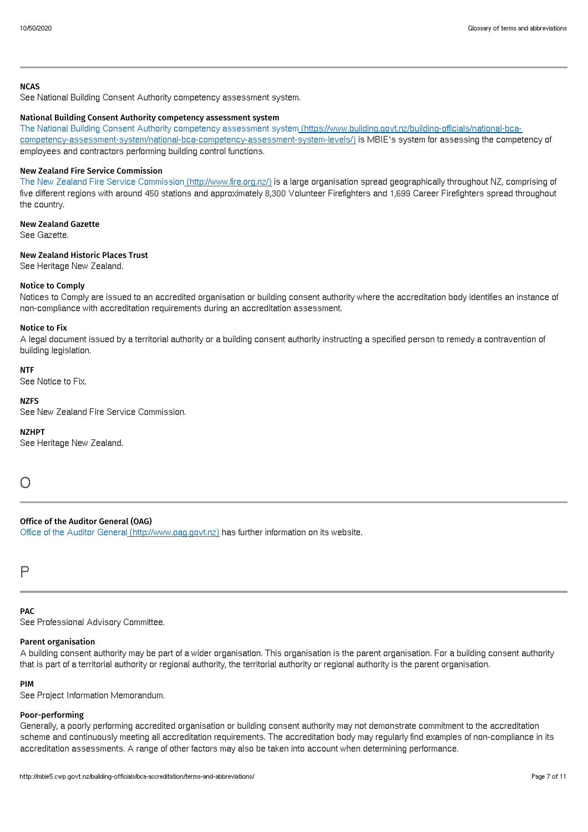# **NCAS**

See National Building Consent Authority competency assessment system.

# National Building Consent Authority competency assessment system

The National Building Consent Authority competency assessment system (https://www.building.govt.nz/building-officials/national-bca[competency-assessment-system/national-bca-competency-assessment-system-levels/\)](https://www.building.govt.nz/building-officials/national-bca-competency-assessment-system/national-bca-competency-assessment-system-levels/) is MBIE's system for assessing the competency of employees and contractors performing building control functions.

# New Zealand Fire Service Commission

The New Zealand Fire Service Commission [\(http://www.fire.org.nz/\)](http://www.fire.org.nz/) is a large organisation spread geographically throughout NZ, comprising of five different regions with around 450 stations and approximately 8,300 Volunteer Firefighters and 1,699 Career Firefighters spread throughout the country.

New Zealand Gazette See Gazette.

# New Zealand Historic Places Trust

See Heritage New Zealand.

# Notice to Comply

Notices to Comply are issued to an accredited organisation or building consent authority where the accreditation body identifies an instance of non-compliance with accreditation requirements during an accreditation assessment.

## Notice to Fix

A legal document issued by a territorial authority or a building consent authority instructing a specified person to remedy a contravention of building legislation.

### **NTF**

See Notice to Fix.

# **NZFS**

See New Zealand Fire Service Commission.

### NZHPT

See Heritage New Zealand.

 $\cap$ 

# Office of the Auditor General (OAG)

Office of the Auditor General [\(http://www.oag.govt.nz\)](http://www.oag.govt.nz) has further information on its website.

P

# PAC

See Professional Advisory Committee.

# Parent organisation

A building consent authority may be part of a wider organisation. This organisation is the parent organisation. For a building consent authority that is part of a territorial authority or regional authority, the territorial authority or regional authority is the parent organisation.

### PIM

See Project Information Memorandum.

### Poor-performing

Generally, a poorly performing accredited organisation or building consent authority may not demonstrate commitment to the accreditation scheme and continuously meeting all accreditation requirements. The accreditation body may regularly find examples of non-compliance in its accreditation assessments. A range of other factors may also be taken into account when determining performance.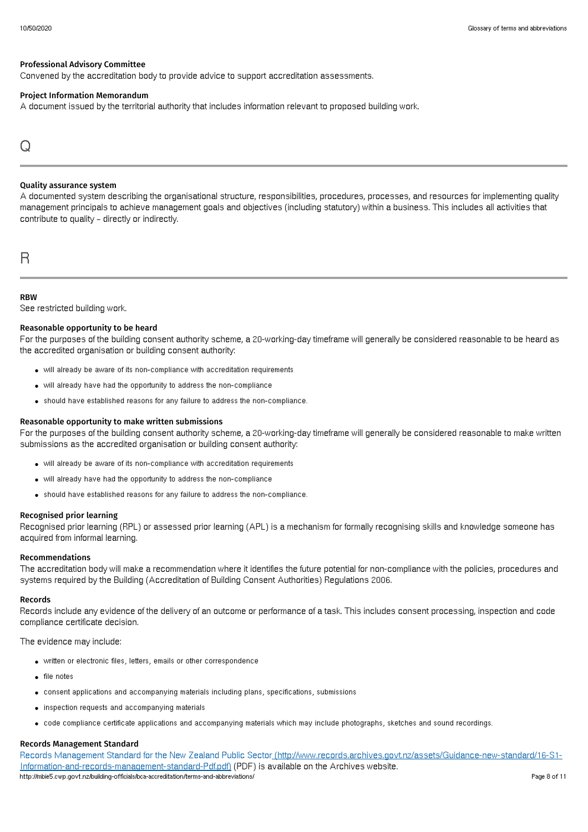# Professional Advisory Committee

Convened by the accreditation body to provide advice to support accreditation assessments.

### Project Information Memorandum

A document issued by the territorial authority that includes information relevant to proposed building work.

# Q

### Quality assurance system

A documented system describing the organisational structure, responsibilities, procedures, processes, and resources for implementing quality management principals to achieve management goals and objectives (including statutory) within a business. This includes all activities that contribute to quality – directly or indirectly.

# R

# **RBW**

See restricted building work.

# Reasonable opportunity to be heard

For the purposes of the building consent authority scheme, a 20-working-day timeframe will generally be considered reasonable to be heard as the accredited organisation or building consent authority:

- will already be aware of its non-compliance with accreditation requirements
- will already have had the opportunity to address the non-compliance
- should have established reasons for any failure to address the non-compliance.

### Reasonable opportunity to make written submissions

For the purposes of the building consent authority scheme, a 20-working-day timeframe will generally be considered reasonable to make written submissions as the accredited organisation or building consent authority:

- will already be aware of its non-compliance with accreditation requirements
- will already have had the opportunity to address the non-compliance
- should have established reasons for any failure to address the non-compliance.

### Recognised prior learning

Recognised prior learning (RPL) or assessed prior learning (APL) is a mechanism for formally recognising skills and knowledge someone has acquired from informal learning.

### Recommendations

The accreditation body will make a recommendation where it identifies the future potential for non-compliance with the policies, procedures and systems required by the Building (Accreditation of Building Consent Authorities) Regulations 2006.

### Records

Records include any evidence of the delivery of an outcome or performance of a task. This includes consent processing, inspection and code compliance certificate decision.

The evidence may include:

- written or electronic files, letters, emails or other correspondence
- file notes
- consent applications and accompanying materials including plans, specifications, submissions
- inspection requests and accompanying materials
- code compliance certificate applications and accompanying materials which may include photographs, sketches and sound recordings.

### Records Management Standard

Records Management Standard for the New Zealand Public Sector [\(http://www.records.archives.govt.nz/assets/Guidance-new-standard/16-S1-](http://www.records.archives.govt.nz/assets/Guidance-new-standard/16-S1-Information-and-records-management-standard-Pdf.pdf) Information-and-records-management-standard-Pdf.pdf) (PDF) is available on the Archives website. http://mbie5.cwp.govt.nz/building-officials/bca-accreditation/terms-and-abbreviations/ Page 8 of 11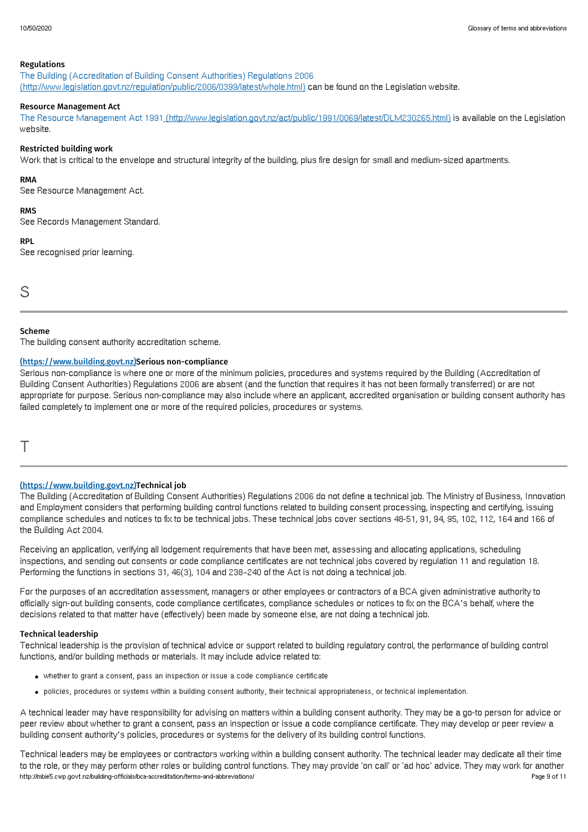### Regulations

The Building (Accreditation of Building Consent Authorities) Regulations 2006 [\(http://www.legislation.govt.nz/regulation/public/2006/0399/latest/whole.html\)](http://www.legislation.govt.nz/regulation/public/2006/0399/latest/whole.html) can be found on the Legislation website.

# Resource Management Act

The Resource Management Act 1991 [\(http://www.legislation.govt.nz/act/public/1991/0069/latest/DLM230265.html\)](http://www.legislation.govt.nz/act/public/1991/0069/latest/DLM230265.html) is available on the Legislation website.

# Restricted building work

Work that is critical to the envelope and structural integrity of the building, plus fire design for small and medium-sized apartments.

# RMA

See Resource Management Act.

# RMS

See Records Management Standard.

# **RPL**

See recognised prior learning.

S

# Scheme

The building consent authority accreditation scheme.

# (https://www.building.govt.nz)Serious non-compliance

Serious non-compliance is where one or more of the minimum policies, procedures and systems required by the Building (Accreditation of Building Consent Authorities) Regulations 2006 are absent (and the function that requires it has not been formally transferred) or are not appropriate for purpose. Serious non-compliance may also include where an applicant, accredited organisation or building consent authority has failed completely to implement one or more of the required policies, procedures or systems.

T

# (https://www.building.govt.nz)Technical job

The Building (Accreditation of Building Consent Authorities) Regulations 2006 do not define a technical job. The Ministry of Business, Innovation and Employment considers that performing building control functions related to building consent processing, inspecting and certifying, issuing compliance schedules and notices to fix to be technical jobs. These technical jobs cover sections 48-51, 91, 94, 95, 102, 112, 164 and 166 of the Building Act 2004.

Receiving an application, verifying all lodgement requirements that have been met, assessing and allocating applications, scheduling inspections, and sending out consents or code compliance certificates are not technical jobs covered by regulation 11 and regulation 18. Performing the functions in sections 31, 46(3), 104 and 238–240 of the Act is not doing a technical job.

For the purposes of an accreditation assessment, managers or other employees or contractors of a BCA given administrative authority to officially sign-out building consents, code compliance certificates, compliance schedules or notices to fix on the BCA's behalf, where the decisions related to that matter have (effectively) been made by someone else, are not doing a technical job.

# Technical leadership

Technical leadership is the provision of technical advice or support related to building regulatory control, the performance of building control functions, and/or building methods or materials. It may include advice related to:

- whether to grant a consent, pass an inspection or issue a code compliance certificate
- policies, procedures or systems within a building consent authority, their technical appropriateness, or technical implementation.

A technical leader may have responsibility for advising on matters within a building consent authority. They may be a go-to person for advice or peer review about whether to grant a consent, pass an inspection or issue a code compliance certificate. They may develop or peer review a building consent authority's policies, procedures or systems for the delivery of its building control functions.

Technical leaders may be employees or contractors working within a building consent authority. The technical leader may dedicate all their time to the role, or they may perform other roles or building control functions. They may provide 'on call' or 'ad hoc' advice. They may work for another http://mbie5.cwp.govt.nz/building-officials/bca-accreditation/terms-and-abbreviations/ Page 9 of 11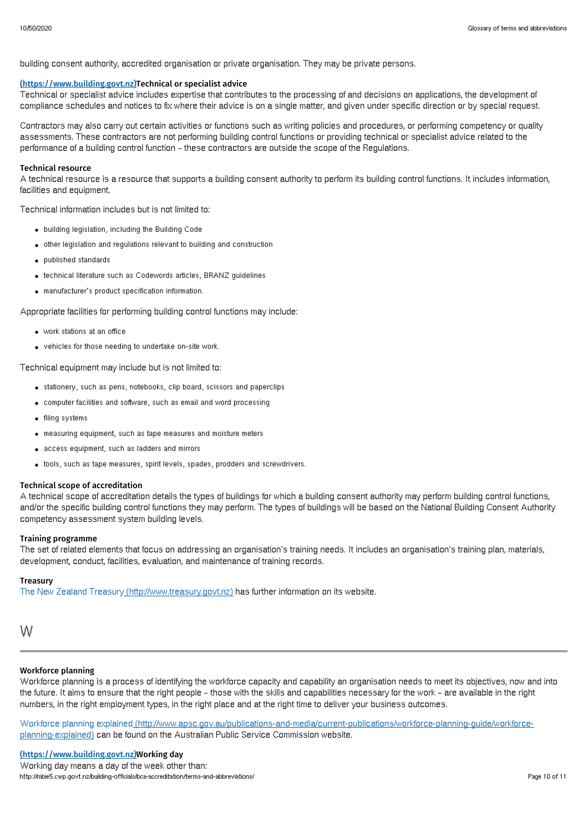building consent authority, accredited organisation or private organisation. They may be private persons.

## (https://www.building.govt.nz)Technical or specialist advice

Technical or specialist advice includes expertise that contributes to the processing of and decisions on applications, the development of compliance schedules and notices to fix where their advice is on a single matter, and given under specific direction or by special request.

Contractors may also carry out certain activities or functions such as writing policies and procedures, or performing competency or quality assessments. These contractors are not performing building control functions or providing technical or specialist advice related to the performance of a building control function – these contractors are outside the scope of the Regulations.

### Technical resource

A technical resource is a resource that supports a building consent authority to perform its building control functions. It includes information, facilities and equipment.

Technical information includes but is not limited to:

- building legislation, including the Building Code
- other legislation and regulations relevant to building and construction
- published standards
- technical literature such as Codewords articles, BRANZ guidelines
- manufacturer's product specification information.

Appropriate facilities for performing building control functions may include:

- work stations at an office
- vehicles for those needing to undertake on-site work.

Technical equipment may include but is not limited to:

- stationery, such as pens, notebooks, clip board, scissors and paperclips
- computer facilities and software, such as email and word processing
- **•** filing systems
- measuring equipment, such as tape measures and moisture meters
- access equipment, such as ladders and mirrors
- tools, such as tape measures, spirit levels, spades, prodders and screwdrivers.

# Technical scope of accreditation

A technical scope of accreditation details the types of buildings for which a building consent authority may perform building control functions, and/or the specific building control functions they may perform. The types of buildings will be based on the National Building Consent Authority competency assessment system building levels.

## Training programme

The set of related elements that focus on addressing an organisation's training needs. It includes an organisation's training plan, materials, development, conduct, facilities, evaluation, and maintenance of training records.

# Treasury

The New Zealand Treasury [\(http://www.treasury.govt.nz\)](http://www.treasury.govt.nz) has further information on its website.

```
W
```
# Workforce planning

Workforce planning is a process of identifying the workforce capacity and capability an organisation needs to meet its objectives, now and into the future. It aims to ensure that the right people – those with the skills and capabilities necessary for the work – are available in the right numbers, in the right employment types, in the right place and at the right time to deliver your business outcomes.

Workforce planning explained [\(http://www.apsc.gov.au/publications-and-media/current-publications/workforce-planning-guide/workforce](http://www.apsc.gov.au/publications-and-media/current-publications/workforce-planning-guide/workforce-planning-explained)planning-explained) can be found on the Australian Public Service Commission website.

Working day means a day of the week other than: http://mbie5.cwp.govt.nz/building-officials/bca-accreditation/terms-and-abbreviations/ Page 10 of 11